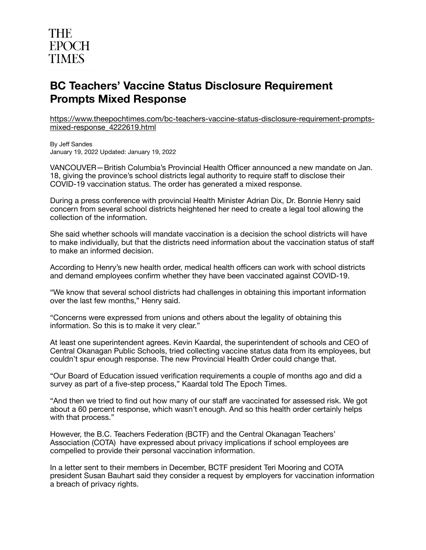## **THE EPOCH TIMES**

## **BC Teachers' Vaccine Status Disclosure Requirement Prompts Mixed Response**

[https://www.theepochtimes.com/bc-teachers-vaccine-status-disclosure-requirement-prompts](https://www.theepochtimes.com/bc-teachers-vaccine-status-disclosure-requirement-prompts-mixed-response_4222619.html)[mixed-response\\_4222619.html](https://www.theepochtimes.com/bc-teachers-vaccine-status-disclosure-requirement-prompts-mixed-response_4222619.html)

By Jeff Sandes January 19, 2022 Updated: January 19, 2022

VANCOUVER—British Columbia's Provincial Health Officer announced a new mandate on Jan. 18, giving the province's school districts legal authority to require staff to disclose their COVID-19 vaccination status. The order has generated a mixed response.

During a press conference with provincial Health Minister Adrian Dix, Dr. Bonnie Henry said concern from several school districts heightened her need to create a legal tool allowing the collection of the information.

She said whether schools will mandate vaccination is a decision the school districts will have to make individually, but that the districts need information about the vaccination status of staff to make an informed decision.

According to Henry's new health order, medical health officers can work with school districts and demand employees confirm whether they have been vaccinated against COVID-19.

"We know that several school districts had challenges in obtaining this important information over the last few months," Henry said.

"Concerns were expressed from unions and others about the legality of obtaining this information. So this is to make it very clear."

At least one superintendent agrees. Kevin Kaardal, the superintendent of schools and CEO of Central Okanagan Public Schools, tried collecting vaccine status data from its employees, but couldn't spur enough response. The new Provincial Health Order could change that.

"Our Board of Education issued verification requirements a couple of months ago and did a survey as part of a five-step process," Kaardal told The Epoch Times.

"And then we tried to find out how many of our staff are vaccinated for assessed risk. We got about a 60 percent response, which wasn't enough. And so this health order certainly helps with that process."

However, the B.C. Teachers Federation (BCTF) and the Central Okanagan Teachers' Association (COTA) have expressed about privacy implications if school employees are compelled to provide their personal vaccination information.

In a letter sent to their members in December, BCTF president Teri Mooring and COTA president Susan Bauhart said they consider a request by employers for vaccination information a breach of privacy rights.